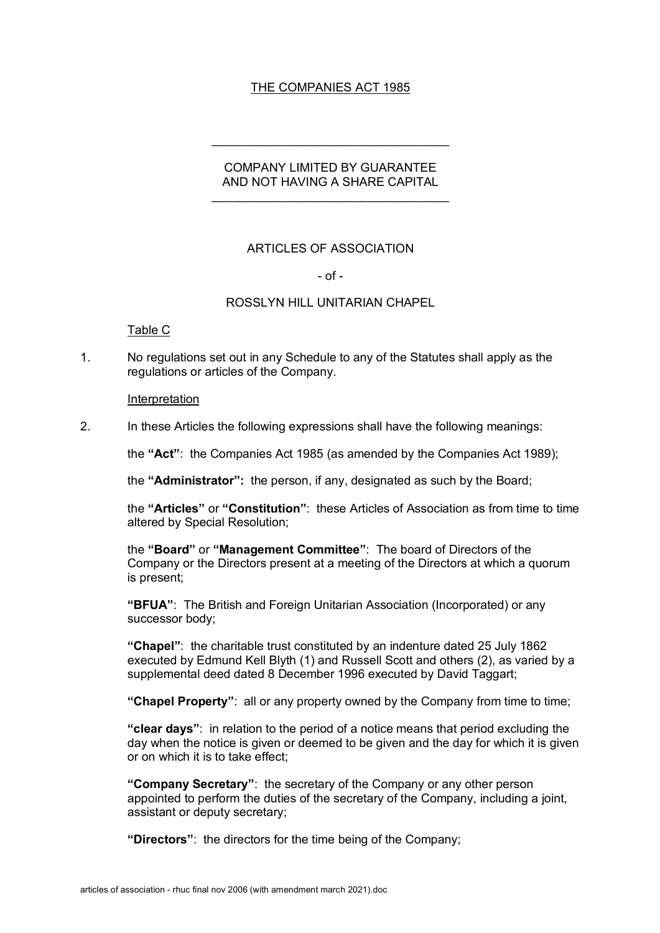# THE COMPANIES ACT 1985

# COMPANY LIMITED BY GUARANTEE AND NOT HAVING A SHARE CAPITAL

 $\mathcal{L}_\text{max}$  and  $\mathcal{L}_\text{max}$  and  $\mathcal{L}_\text{max}$  and  $\mathcal{L}_\text{max}$ 

## ARTICLES OF ASSOCIATION

## $-$  of  $-$

## ROSSLYN HILL UNITARIAN CHAPEL

## Table C

1. No regulations set out in any Schedule to any of the Statutes shall apply as the regulations or articles of the Company.

#### Interpretation

2. In these Articles the following expressions shall have the following meanings:

the **"Act"**: the Companies Act 1985 (as amended by the Companies Act 1989);

the **"Administrator":** the person, if any, designated as such by the Board;

the **"Articles"** or **"Constitution"**: these Articles of Association as from time to time altered by Special Resolution;

the **"Board"** or **"Management Committee"**: The board of Directors of the Company or the Directors present at a meeting of the Directors at which a quorum is present;

**"BFUA"**: The British and Foreign Unitarian Association (Incorporated) or any successor body;

**"Chapel"**: the charitable trust constituted by an indenture dated 25 July 1862 executed by Edmund Kell Blyth (1) and Russell Scott and others (2), as varied by a supplemental deed dated 8 December 1996 executed by David Taggart;

**"Chapel Property"**: all or any property owned by the Company from time to time;

**"clear days"**: in relation to the period of a notice means that period excluding the day when the notice is given or deemed to be given and the day for which it is given or on which it is to take effect;

**"Company Secretary"**: the secretary of the Company or any other person appointed to perform the duties of the secretary of the Company, including a joint, assistant or deputy secretary;

**"Directors"**: the directors for the time being of the Company;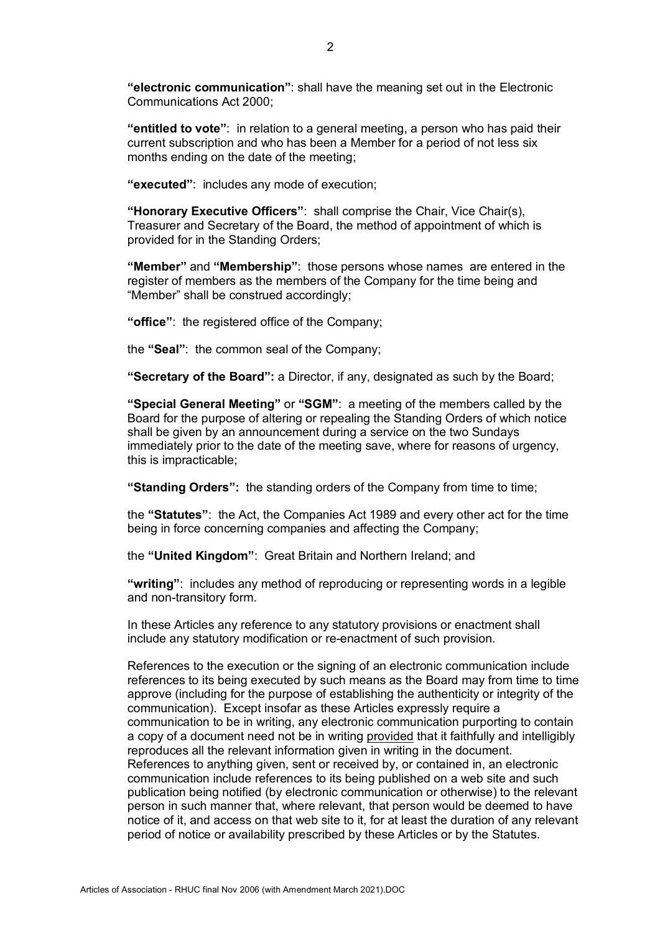**"electronic communication"**: shall have the meaning set out in the Electronic Communications Act 2000;

**"entitled to vote"**: in relation to a general meeting, a person who has paid their current subscription and who has been a Member for a period of not less six months ending on the date of the meeting;

**"executed"**: includes any mode of execution;

**"Honorary Executive Officers"**: shall comprise the Chair, Vice Chair(s), Treasurer and Secretary of the Board, the method of appointment of which is provided for in the Standing Orders;

**"Member"** and **"Membership"**: those persons whose names are entered in the register of members as the members of the Company for the time being and "Member" shall be construed accordingly;

**"office"**: the registered office of the Company;

the **"Seal"**: the common seal of the Company;

**"Secretary of the Board":** a Director, if any, designated as such by the Board;

**"Special General Meeting"** or **"SGM"**: a meeting of the members called by the Board for the purpose of altering or repealing the Standing Orders of which notice shall be given by an announcement during a service on the two Sundays immediately prior to the date of the meeting save, where for reasons of urgency, this is impracticable;

**"Standing Orders":** the standing orders of the Company from time to time;

the **"Statutes"**: the Act, the Companies Act 1989 and every other act for the time being in force concerning companies and affecting the Company;

the **"United Kingdom"**: Great Britain and Northern Ireland; and

**"writing"**: includes any method of reproducing or representing words in a legible and non-transitory form.

In these Articles any reference to any statutory provisions or enactment shall include any statutory modification or re-enactment of such provision.

References to the execution or the signing of an electronic communication include references to its being executed by such means as the Board may from time to time approve (including for the purpose of establishing the authenticity or integrity of the communication). Except insofar as these Articles expressly require a communication to be in writing, any electronic communication purporting to contain a copy of a document need not be in writing provided that it faithfully and intelligibly reproduces all the relevant information given in writing in the document. References to anything given, sent or received by, or contained in, an electronic communication include references to its being published on a web site and such publication being notified (by electronic communication or otherwise) to the relevant person in such manner that, where relevant, that person would be deemed to have notice of it, and access on that web site to it, for at least the duration of any relevant period of notice or availability prescribed by these Articles or by the Statutes.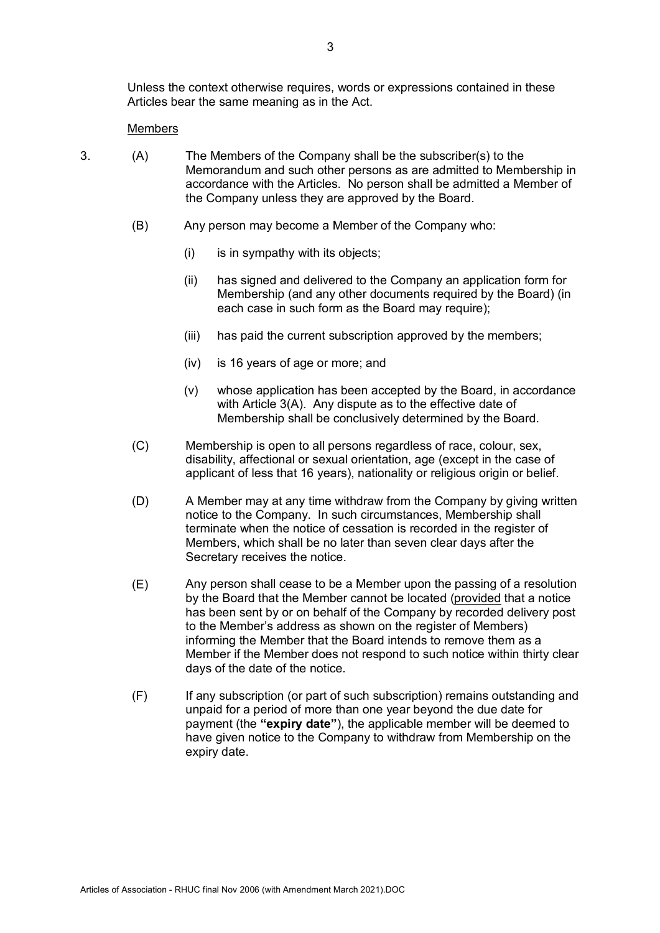Unless the context otherwise requires, words or expressions contained in these Articles bear the same meaning as in the Act.

#### Members

- 3. (A) The Members of the Company shall be the subscriber(s) to the Memorandum and such other persons as are admitted to Membership in accordance with the Articles. No person shall be admitted a Member of the Company unless they are approved by the Board.
	- (B) Any person may become a Member of the Company who:
		- (i) is in sympathy with its objects;
		- (ii) has signed and delivered to the Company an application form for Membership (and any other documents required by the Board) (in each case in such form as the Board may require);
		- (iii) has paid the current subscription approved by the members;
		- (iv) is 16 years of age or more; and
		- (v) whose application has been accepted by the Board, in accordance with Article 3(A). Any dispute as to the effective date of Membership shall be conclusively determined by the Board.
	- (C) Membership is open to all persons regardless of race, colour, sex, disability, affectional or sexual orientation, age (except in the case of applicant of less that 16 years), nationality or religious origin or belief.
	- (D) A Member may at any time withdraw from the Company by giving written notice to the Company. In such circumstances, Membership shall terminate when the notice of cessation is recorded in the register of Members, which shall be no later than seven clear days after the Secretary receives the notice.
	- (E) Any person shall cease to be a Member upon the passing of a resolution by the Board that the Member cannot be located (provided that a notice has been sent by or on behalf of the Company by recorded delivery post to the Member's address as shown on the register of Members) informing the Member that the Board intends to remove them as a Member if the Member does not respond to such notice within thirty clear days of the date of the notice.
	- (F) If any subscription (or part of such subscription) remains outstanding and unpaid for a period of more than one year beyond the due date for payment (the **"expiry date"**), the applicable member will be deemed to have given notice to the Company to withdraw from Membership on the expiry date.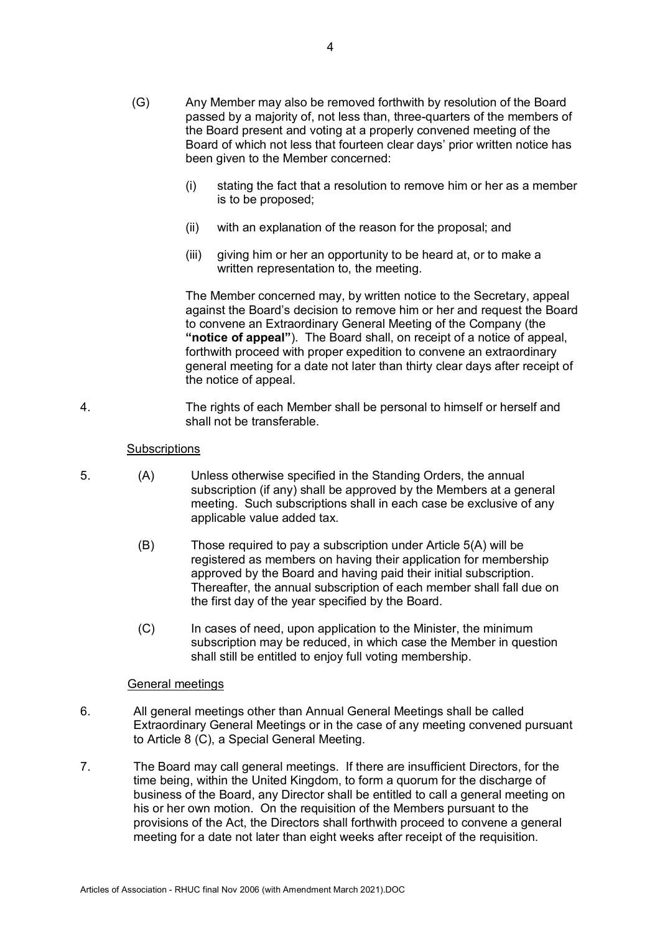- (G) Any Member may also be removed forthwith by resolution of the Board passed by a majority of, not less than, three-quarters of the members of the Board present and voting at a properly convened meeting of the Board of which not less that fourteen clear days' prior written notice has been given to the Member concerned:
	- (i) stating the fact that a resolution to remove him or her as a member is to be proposed;
	- (ii) with an explanation of the reason for the proposal; and
	- (iii) giving him or her an opportunity to be heard at, or to make a written representation to, the meeting.

The Member concerned may, by written notice to the Secretary, appeal against the Board's decision to remove him or her and request the Board to convene an Extraordinary General Meeting of the Company (the **"notice of appeal"**). The Board shall, on receipt of a notice of appeal, forthwith proceed with proper expedition to convene an extraordinary general meeting for a date not later than thirty clear days after receipt of the notice of appeal.

4. The rights of each Member shall be personal to himself or herself and shall not be transferable.

## **Subscriptions**

- 5. (A) Unless otherwise specified in the Standing Orders, the annual subscription (if any) shall be approved by the Members at a general meeting. Such subscriptions shall in each case be exclusive of any applicable value added tax.
	- (B) Those required to pay a subscription under Article 5(A) will be registered as members on having their application for membership approved by the Board and having paid their initial subscription. Thereafter, the annual subscription of each member shall fall due on the first day of the year specified by the Board.
	- (C) In cases of need, upon application to the Minister, the minimum subscription may be reduced, in which case the Member in question shall still be entitled to enjoy full voting membership.

## General meetings

- 6. All general meetings other than Annual General Meetings shall be called Extraordinary General Meetings or in the case of any meeting convened pursuant to Article 8 (C), a Special General Meeting.
- 7. The Board may call general meetings. If there are insufficient Directors, for the time being, within the United Kingdom, to form a quorum for the discharge of business of the Board, any Director shall be entitled to call a general meeting on his or her own motion. On the requisition of the Members pursuant to the provisions of the Act, the Directors shall forthwith proceed to convene a general meeting for a date not later than eight weeks after receipt of the requisition.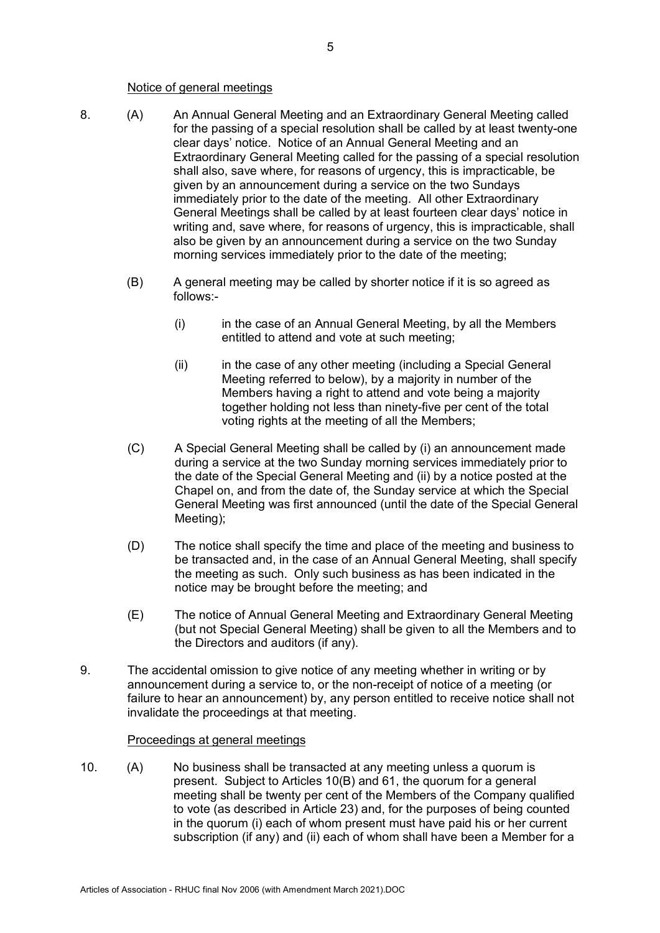#### Notice of general meetings

- 8. (A) An Annual General Meeting and an Extraordinary General Meeting called for the passing of a special resolution shall be called by at least twenty-one clear days' notice. Notice of an Annual General Meeting and an Extraordinary General Meeting called for the passing of a special resolution shall also, save where, for reasons of urgency, this is impracticable, be given by an announcement during a service on the two Sundays immediately prior to the date of the meeting. All other Extraordinary General Meetings shall be called by at least fourteen clear days' notice in writing and, save where, for reasons of urgency, this is impracticable, shall also be given by an announcement during a service on the two Sunday morning services immediately prior to the date of the meeting;
	- (B) A general meeting may be called by shorter notice if it is so agreed as follows:-
		- (i) in the case of an Annual General Meeting, by all the Members entitled to attend and vote at such meeting;
		- (ii) in the case of any other meeting (including a Special General Meeting referred to below), by a majority in number of the Members having a right to attend and vote being a majority together holding not less than ninety-five per cent of the total voting rights at the meeting of all the Members;
	- (C) A Special General Meeting shall be called by (i) an announcement made during a service at the two Sunday morning services immediately prior to the date of the Special General Meeting and (ii) by a notice posted at the Chapel on, and from the date of, the Sunday service at which the Special General Meeting was first announced (until the date of the Special General Meeting);
	- (D) The notice shall specify the time and place of the meeting and business to be transacted and, in the case of an Annual General Meeting, shall specify the meeting as such. Only such business as has been indicated in the notice may be brought before the meeting; and
	- (E) The notice of Annual General Meeting and Extraordinary General Meeting (but not Special General Meeting) shall be given to all the Members and to the Directors and auditors (if any).
- 9. The accidental omission to give notice of any meeting whether in writing or by announcement during a service to, or the non-receipt of notice of a meeting (or failure to hear an announcement) by, any person entitled to receive notice shall not invalidate the proceedings at that meeting.

#### Proceedings at general meetings

10. (A) No business shall be transacted at any meeting unless a quorum is present. Subject to Articles 10(B) and 61, the quorum for a general meeting shall be twenty per cent of the Members of the Company qualified to vote (as described in Article 23) and, for the purposes of being counted in the quorum (i) each of whom present must have paid his or her current subscription (if any) and (ii) each of whom shall have been a Member for a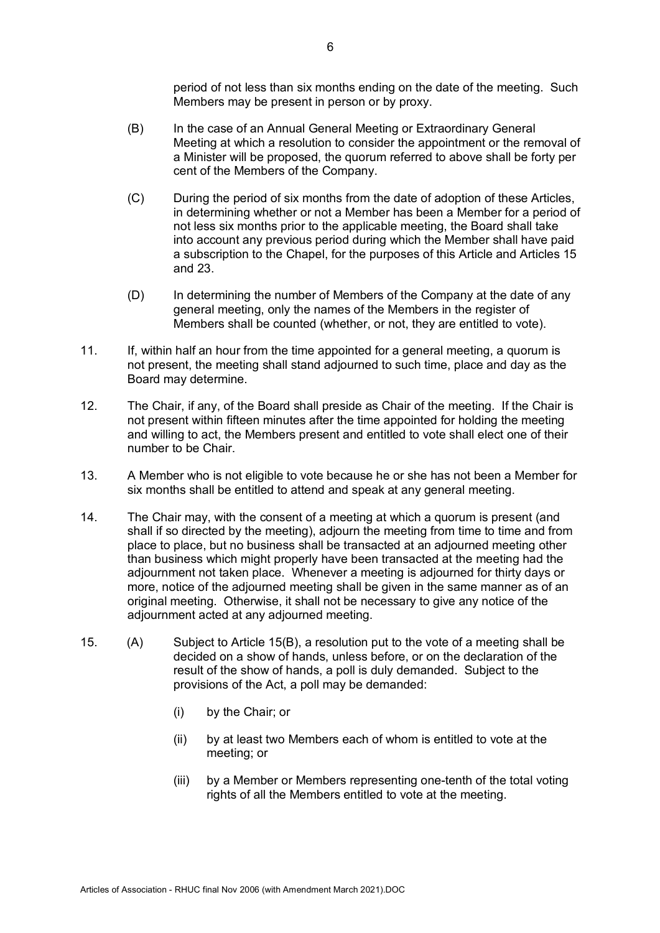period of not less than six months ending on the date of the meeting. Such Members may be present in person or by proxy.

- (B) In the case of an Annual General Meeting or Extraordinary General Meeting at which a resolution to consider the appointment or the removal of a Minister will be proposed, the quorum referred to above shall be forty per cent of the Members of the Company.
- (C) During the period of six months from the date of adoption of these Articles, in determining whether or not a Member has been a Member for a period of not less six months prior to the applicable meeting, the Board shall take into account any previous period during which the Member shall have paid a subscription to the Chapel, for the purposes of this Article and Articles 15 and 23.
- (D) In determining the number of Members of the Company at the date of any general meeting, only the names of the Members in the register of Members shall be counted (whether, or not, they are entitled to vote).
- 11. If, within half an hour from the time appointed for a general meeting, a quorum is not present, the meeting shall stand adjourned to such time, place and day as the Board may determine.
- 12. The Chair, if any, of the Board shall preside as Chair of the meeting. If the Chair is not present within fifteen minutes after the time appointed for holding the meeting and willing to act, the Members present and entitled to vote shall elect one of their number to be Chair.
- 13. A Member who is not eligible to vote because he or she has not been a Member for six months shall be entitled to attend and speak at any general meeting.
- 14. The Chair may, with the consent of a meeting at which a quorum is present (and shall if so directed by the meeting), adjourn the meeting from time to time and from place to place, but no business shall be transacted at an adjourned meeting other than business which might properly have been transacted at the meeting had the adjournment not taken place. Whenever a meeting is adjourned for thirty days or more, notice of the adjourned meeting shall be given in the same manner as of an original meeting. Otherwise, it shall not be necessary to give any notice of the adjournment acted at any adjourned meeting.
- 15. (A) Subject to Article 15(B), a resolution put to the vote of a meeting shall be decided on a show of hands, unless before, or on the declaration of the result of the show of hands, a poll is duly demanded. Subject to the provisions of the Act, a poll may be demanded:
	- (i) by the Chair; or
	- (ii) by at least two Members each of whom is entitled to vote at the meeting; or
	- (iii) by a Member or Members representing one-tenth of the total voting rights of all the Members entitled to vote at the meeting.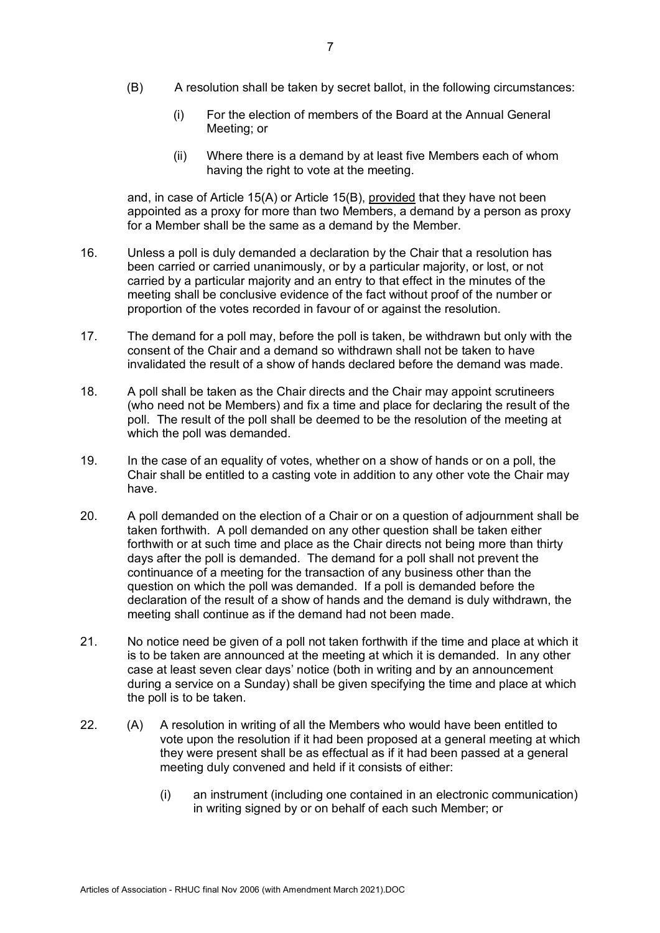- (B) A resolution shall be taken by secret ballot, in the following circumstances:
	- (i) For the election of members of the Board at the Annual General Meeting; or
	- (ii) Where there is a demand by at least five Members each of whom having the right to vote at the meeting.

and, in case of Article 15(A) or Article 15(B), provided that they have not been appointed as a proxy for more than two Members, a demand by a person as proxy for a Member shall be the same as a demand by the Member.

- 16. Unless a poll is duly demanded a declaration by the Chair that a resolution has been carried or carried unanimously, or by a particular majority, or lost, or not carried by a particular majority and an entry to that effect in the minutes of the meeting shall be conclusive evidence of the fact without proof of the number or proportion of the votes recorded in favour of or against the resolution.
- 17. The demand for a poll may, before the poll is taken, be withdrawn but only with the consent of the Chair and a demand so withdrawn shall not be taken to have invalidated the result of a show of hands declared before the demand was made.
- 18. A poll shall be taken as the Chair directs and the Chair may appoint scrutineers (who need not be Members) and fix a time and place for declaring the result of the poll. The result of the poll shall be deemed to be the resolution of the meeting at which the poll was demanded.
- 19. In the case of an equality of votes, whether on a show of hands or on a poll, the Chair shall be entitled to a casting vote in addition to any other vote the Chair may have.
- 20. A poll demanded on the election of a Chair or on a question of adjournment shall be taken forthwith. A poll demanded on any other question shall be taken either forthwith or at such time and place as the Chair directs not being more than thirty days after the poll is demanded. The demand for a poll shall not prevent the continuance of a meeting for the transaction of any business other than the question on which the poll was demanded. If a poll is demanded before the declaration of the result of a show of hands and the demand is duly withdrawn, the meeting shall continue as if the demand had not been made.
- 21. No notice need be given of a poll not taken forthwith if the time and place at which it is to be taken are announced at the meeting at which it is demanded. In any other case at least seven clear days' notice (both in writing and by an announcement during a service on a Sunday) shall be given specifying the time and place at which the poll is to be taken.
- 22. (A) A resolution in writing of all the Members who would have been entitled to vote upon the resolution if it had been proposed at a general meeting at which they were present shall be as effectual as if it had been passed at a general meeting duly convened and held if it consists of either:
	- (i) an instrument (including one contained in an electronic communication) in writing signed by or on behalf of each such Member; or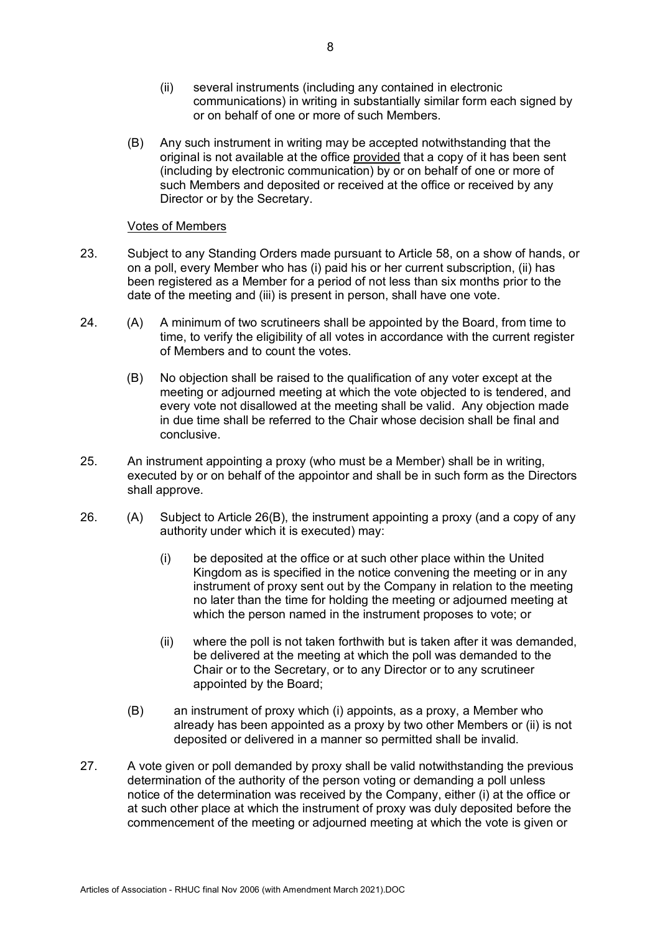- (ii) several instruments (including any contained in electronic communications) in writing in substantially similar form each signed by or on behalf of one or more of such Members.
- (B) Any such instrument in writing may be accepted notwithstanding that the original is not available at the office provided that a copy of it has been sent (including by electronic communication) by or on behalf of one or more of such Members and deposited or received at the office or received by any Director or by the Secretary.

## Votes of Members

- 23. Subject to any Standing Orders made pursuant to Article 58, on a show of hands, or on a poll, every Member who has (i) paid his or her current subscription, (ii) has been registered as a Member for a period of not less than six months prior to the date of the meeting and (iii) is present in person, shall have one vote.
- 24. (A) A minimum of two scrutineers shall be appointed by the Board, from time to time, to verify the eligibility of all votes in accordance with the current register of Members and to count the votes.
	- (B) No objection shall be raised to the qualification of any voter except at the meeting or adjourned meeting at which the vote objected to is tendered, and every vote not disallowed at the meeting shall be valid. Any objection made in due time shall be referred to the Chair whose decision shall be final and conclusive.
- 25. An instrument appointing a proxy (who must be a Member) shall be in writing, executed by or on behalf of the appointor and shall be in such form as the Directors shall approve.
- 26. (A) Subject to Article 26(B), the instrument appointing a proxy (and a copy of any authority under which it is executed) may:
	- (i) be deposited at the office or at such other place within the United Kingdom as is specified in the notice convening the meeting or in any instrument of proxy sent out by the Company in relation to the meeting no later than the time for holding the meeting or adjourned meeting at which the person named in the instrument proposes to vote; or
	- (ii) where the poll is not taken forthwith but is taken after it was demanded, be delivered at the meeting at which the poll was demanded to the Chair or to the Secretary, or to any Director or to any scrutineer appointed by the Board;
	- (B) an instrument of proxy which (i) appoints, as a proxy, a Member who already has been appointed as a proxy by two other Members or (ii) is not deposited or delivered in a manner so permitted shall be invalid.
- 27. A vote given or poll demanded by proxy shall be valid notwithstanding the previous determination of the authority of the person voting or demanding a poll unless notice of the determination was received by the Company, either (i) at the office or at such other place at which the instrument of proxy was duly deposited before the commencement of the meeting or adjourned meeting at which the vote is given or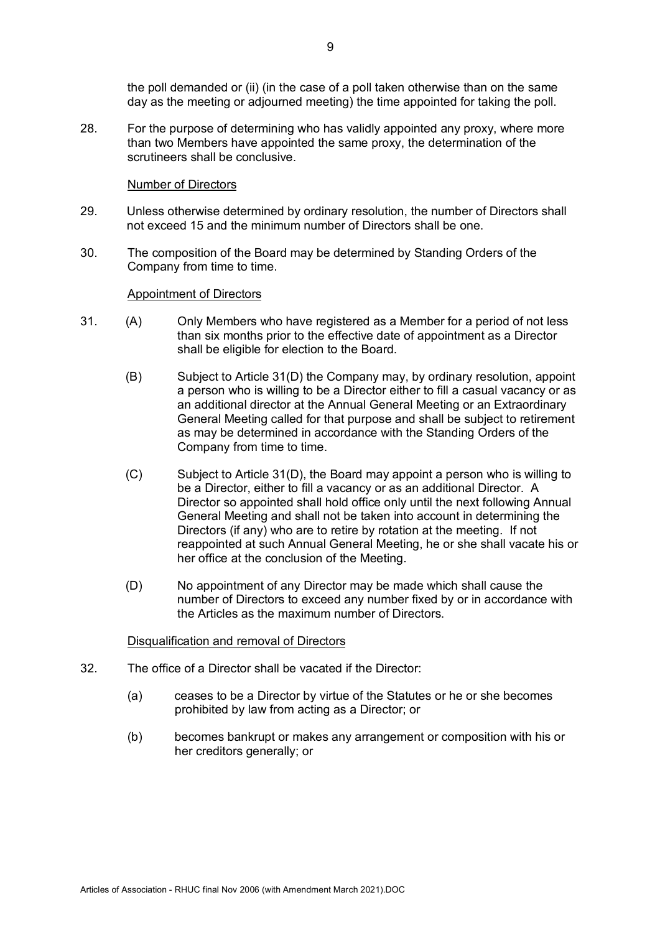the poll demanded or (ii) (in the case of a poll taken otherwise than on the same day as the meeting or adjourned meeting) the time appointed for taking the poll.

28. For the purpose of determining who has validly appointed any proxy, where more than two Members have appointed the same proxy, the determination of the scrutineers shall be conclusive.

#### Number of Directors

- 29. Unless otherwise determined by ordinary resolution, the number of Directors shall not exceed 15 and the minimum number of Directors shall be one.
- 30. The composition of the Board may be determined by Standing Orders of the Company from time to time.

#### Appointment of Directors

- 31. (A) Only Members who have registered as a Member for a period of not less than six months prior to the effective date of appointment as a Director shall be eligible for election to the Board.
	- (B) Subject to Article 31(D) the Company may, by ordinary resolution, appoint a person who is willing to be a Director either to fill a casual vacancy or as an additional director at the Annual General Meeting or an Extraordinary General Meeting called for that purpose and shall be subject to retirement as may be determined in accordance with the Standing Orders of the Company from time to time.
	- (C) Subject to Article 31(D), the Board may appoint a person who is willing to be a Director, either to fill a vacancy or as an additional Director. A Director so appointed shall hold office only until the next following Annual General Meeting and shall not be taken into account in determining the Directors (if any) who are to retire by rotation at the meeting. If not reappointed at such Annual General Meeting, he or she shall vacate his or her office at the conclusion of the Meeting.
	- (D) No appointment of any Director may be made which shall cause the number of Directors to exceed any number fixed by or in accordance with the Articles as the maximum number of Directors.

## Disqualification and removal of Directors

- 32. The office of a Director shall be vacated if the Director:
	- (a) ceases to be a Director by virtue of the Statutes or he or she becomes prohibited by law from acting as a Director; or
	- (b) becomes bankrupt or makes any arrangement or composition with his or her creditors generally; or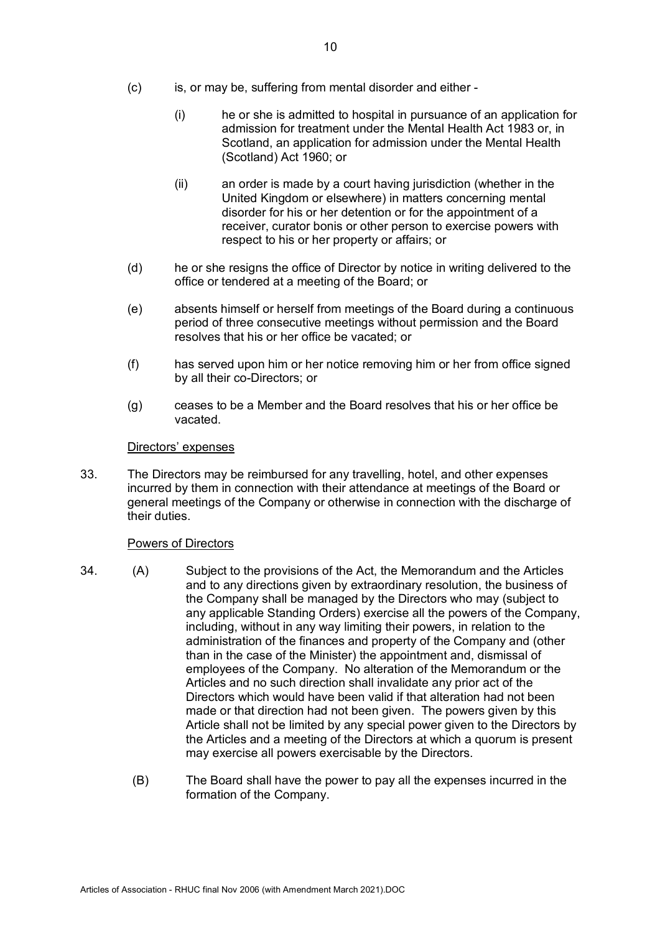- (c) is, or may be, suffering from mental disorder and either
	- (i) he or she is admitted to hospital in pursuance of an application for admission for treatment under the Mental Health Act 1983 or, in Scotland, an application for admission under the Mental Health (Scotland) Act 1960; or
	- (ii) an order is made by a court having jurisdiction (whether in the United Kingdom or elsewhere) in matters concerning mental disorder for his or her detention or for the appointment of a receiver, curator bonis or other person to exercise powers with respect to his or her property or affairs; or
- (d) he or she resigns the office of Director by notice in writing delivered to the office or tendered at a meeting of the Board; or
- (e) absents himself or herself from meetings of the Board during a continuous period of three consecutive meetings without permission and the Board resolves that his or her office be vacated; or
- (f) has served upon him or her notice removing him or her from office signed by all their co-Directors; or
- (g) ceases to be a Member and the Board resolves that his or her office be vacated.

#### Directors' expenses

33. The Directors may be reimbursed for any travelling, hotel, and other expenses incurred by them in connection with their attendance at meetings of the Board or general meetings of the Company or otherwise in connection with the discharge of their duties.

## Powers of Directors

- 34. (A) Subject to the provisions of the Act, the Memorandum and the Articles and to any directions given by extraordinary resolution, the business of the Company shall be managed by the Directors who may (subject to any applicable Standing Orders) exercise all the powers of the Company, including, without in any way limiting their powers, in relation to the administration of the finances and property of the Company and (other than in the case of the Minister) the appointment and, dismissal of employees of the Company. No alteration of the Memorandum or the Articles and no such direction shall invalidate any prior act of the Directors which would have been valid if that alteration had not been made or that direction had not been given. The powers given by this Article shall not be limited by any special power given to the Directors by the Articles and a meeting of the Directors at which a quorum is present may exercise all powers exercisable by the Directors.
	- (B) The Board shall have the power to pay all the expenses incurred in the formation of the Company.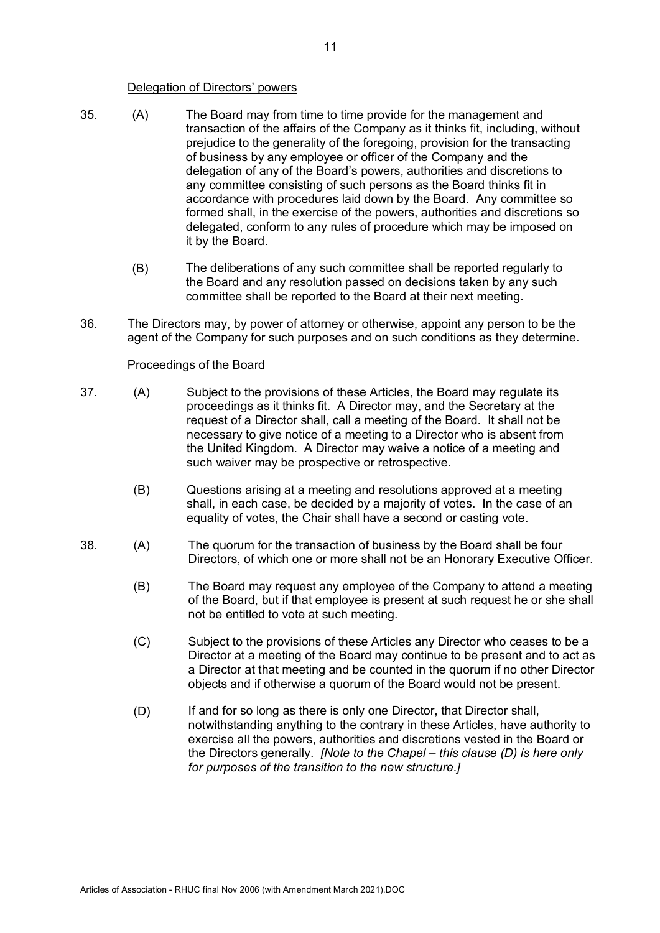#### Delegation of Directors' powers

- 35. (A) The Board may from time to time provide for the management and transaction of the affairs of the Company as it thinks fit, including, without prejudice to the generality of the foregoing, provision for the transacting of business by any employee or officer of the Company and the delegation of any of the Board's powers, authorities and discretions to any committee consisting of such persons as the Board thinks fit in accordance with procedures laid down by the Board. Any committee so formed shall, in the exercise of the powers, authorities and discretions so delegated, conform to any rules of procedure which may be imposed on it by the Board.
	- (B) The deliberations of any such committee shall be reported regularly to the Board and any resolution passed on decisions taken by any such committee shall be reported to the Board at their next meeting.
- 36. The Directors may, by power of attorney or otherwise, appoint any person to be the agent of the Company for such purposes and on such conditions as they determine.

## Proceedings of the Board

- 37. (A) Subject to the provisions of these Articles, the Board may regulate its proceedings as it thinks fit. A Director may, and the Secretary at the request of a Director shall, call a meeting of the Board. It shall not be necessary to give notice of a meeting to a Director who is absent from the United Kingdom. A Director may waive a notice of a meeting and such waiver may be prospective or retrospective.
	- (B) Questions arising at a meeting and resolutions approved at a meeting shall, in each case, be decided by a majority of votes. In the case of an equality of votes, the Chair shall have a second or casting vote.
- 38. (A) The quorum for the transaction of business by the Board shall be four Directors, of which one or more shall not be an Honorary Executive Officer.
	- (B) The Board may request any employee of the Company to attend a meeting of the Board, but if that employee is present at such request he or she shall not be entitled to vote at such meeting.
	- (C) Subject to the provisions of these Articles any Director who ceases to be a Director at a meeting of the Board may continue to be present and to act as a Director at that meeting and be counted in the quorum if no other Director objects and if otherwise a quorum of the Board would not be present.
	- (D) If and for so long as there is only one Director, that Director shall, notwithstanding anything to the contrary in these Articles, have authority to exercise all the powers, authorities and discretions vested in the Board or the Directors generally. *[Note to the Chapel – this clause (D) is here only for purposes of the transition to the new structure.]*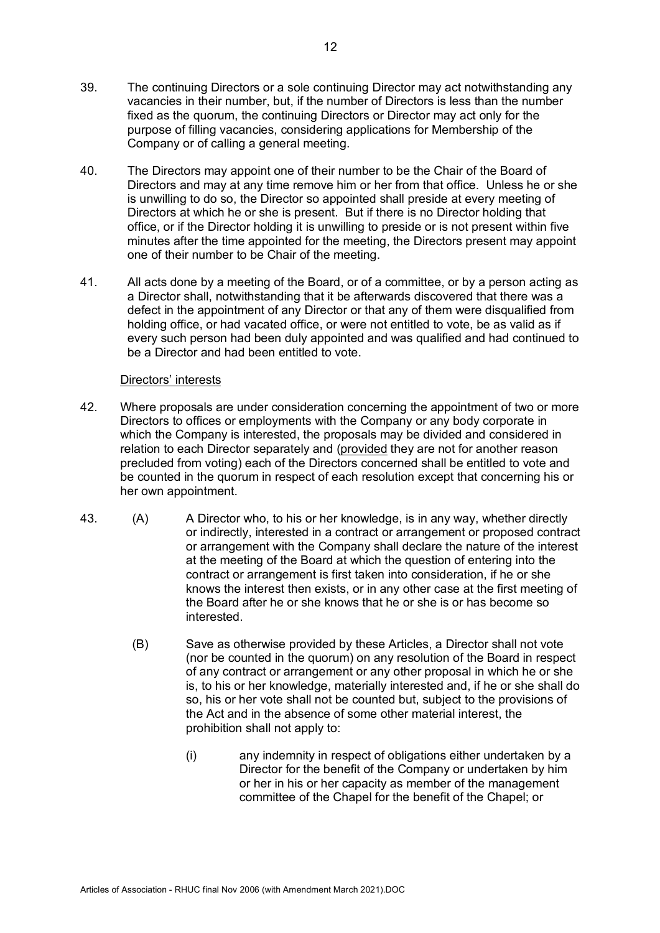- 39. The continuing Directors or a sole continuing Director may act notwithstanding any vacancies in their number, but, if the number of Directors is less than the number fixed as the quorum, the continuing Directors or Director may act only for the purpose of filling vacancies, considering applications for Membership of the Company or of calling a general meeting.
- 40. The Directors may appoint one of their number to be the Chair of the Board of Directors and may at any time remove him or her from that office. Unless he or she is unwilling to do so, the Director so appointed shall preside at every meeting of Directors at which he or she is present. But if there is no Director holding that office, or if the Director holding it is unwilling to preside or is not present within five minutes after the time appointed for the meeting, the Directors present may appoint one of their number to be Chair of the meeting.
- 41. All acts done by a meeting of the Board, or of a committee, or by a person acting as a Director shall, notwithstanding that it be afterwards discovered that there was a defect in the appointment of any Director or that any of them were disqualified from holding office, or had vacated office, or were not entitled to vote, be as valid as if every such person had been duly appointed and was qualified and had continued to be a Director and had been entitled to vote.

## Directors' interests

- 42. Where proposals are under consideration concerning the appointment of two or more Directors to offices or employments with the Company or any body corporate in which the Company is interested, the proposals may be divided and considered in relation to each Director separately and (provided they are not for another reason precluded from voting) each of the Directors concerned shall be entitled to vote and be counted in the quorum in respect of each resolution except that concerning his or her own appointment.
- 43. (A) A Director who, to his or her knowledge, is in any way, whether directly or indirectly, interested in a contract or arrangement or proposed contract or arrangement with the Company shall declare the nature of the interest at the meeting of the Board at which the question of entering into the contract or arrangement is first taken into consideration, if he or she knows the interest then exists, or in any other case at the first meeting of the Board after he or she knows that he or she is or has become so interested.
	- (B) Save as otherwise provided by these Articles, a Director shall not vote (nor be counted in the quorum) on any resolution of the Board in respect of any contract or arrangement or any other proposal in which he or she is, to his or her knowledge, materially interested and, if he or she shall do so, his or her vote shall not be counted but, subject to the provisions of the Act and in the absence of some other material interest, the prohibition shall not apply to:
		- (i) any indemnity in respect of obligations either undertaken by a Director for the benefit of the Company or undertaken by him or her in his or her capacity as member of the management committee of the Chapel for the benefit of the Chapel; or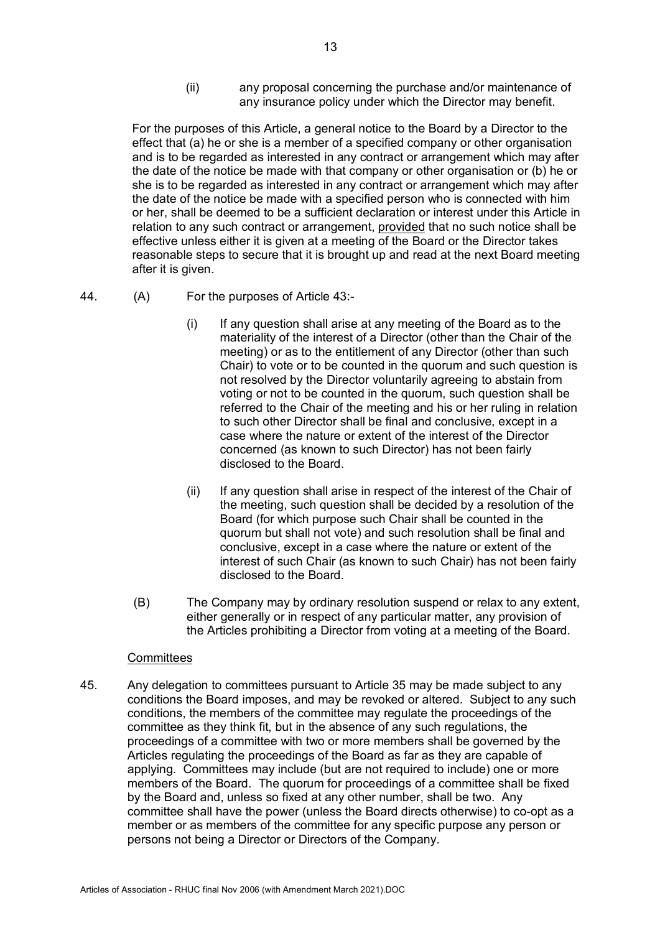(ii) any proposal concerning the purchase and/or maintenance of any insurance policy under which the Director may benefit.

For the purposes of this Article, a general notice to the Board by a Director to the effect that (a) he or she is a member of a specified company or other organisation and is to be regarded as interested in any contract or arrangement which may after the date of the notice be made with that company or other organisation or (b) he or she is to be regarded as interested in any contract or arrangement which may after the date of the notice be made with a specified person who is connected with him or her, shall be deemed to be a sufficient declaration or interest under this Article in relation to any such contract or arrangement, provided that no such notice shall be effective unless either it is given at a meeting of the Board or the Director takes reasonable steps to secure that it is brought up and read at the next Board meeting after it is given.

- 44. (A) For the purposes of Article 43:-
	- (i) If any question shall arise at any meeting of the Board as to the materiality of the interest of a Director (other than the Chair of the meeting) or as to the entitlement of any Director (other than such Chair) to vote or to be counted in the quorum and such question is not resolved by the Director voluntarily agreeing to abstain from voting or not to be counted in the quorum, such question shall be referred to the Chair of the meeting and his or her ruling in relation to such other Director shall be final and conclusive, except in a case where the nature or extent of the interest of the Director concerned (as known to such Director) has not been fairly disclosed to the Board.
	- (ii) If any question shall arise in respect of the interest of the Chair of the meeting, such question shall be decided by a resolution of the Board (for which purpose such Chair shall be counted in the quorum but shall not vote) and such resolution shall be final and conclusive, except in a case where the nature or extent of the interest of such Chair (as known to such Chair) has not been fairly disclosed to the Board.
	- (B) The Company may by ordinary resolution suspend or relax to any extent, either generally or in respect of any particular matter, any provision of the Articles prohibiting a Director from voting at a meeting of the Board.

## **Committees**

45. Any delegation to committees pursuant to Article 35 may be made subject to any conditions the Board imposes, and may be revoked or altered. Subject to any such conditions, the members of the committee may regulate the proceedings of the committee as they think fit, but in the absence of any such regulations, the proceedings of a committee with two or more members shall be governed by the Articles regulating the proceedings of the Board as far as they are capable of applying. Committees may include (but are not required to include) one or more members of the Board. The quorum for proceedings of a committee shall be fixed by the Board and, unless so fixed at any other number, shall be two. Any committee shall have the power (unless the Board directs otherwise) to co-opt as a member or as members of the committee for any specific purpose any person or persons not being a Director or Directors of the Company.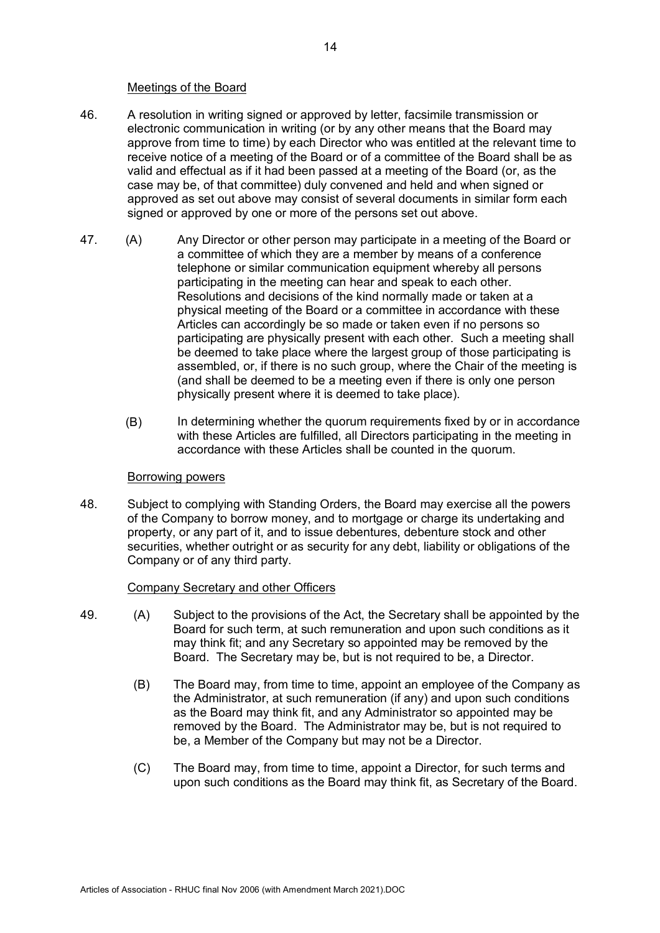#### Meetings of the Board

- 46. A resolution in writing signed or approved by letter, facsimile transmission or electronic communication in writing (or by any other means that the Board may approve from time to time) by each Director who was entitled at the relevant time to receive notice of a meeting of the Board or of a committee of the Board shall be as valid and effectual as if it had been passed at a meeting of the Board (or, as the case may be, of that committee) duly convened and held and when signed or approved as set out above may consist of several documents in similar form each signed or approved by one or more of the persons set out above.
- 47. (A) Any Director or other person may participate in a meeting of the Board or a committee of which they are a member by means of a conference telephone or similar communication equipment whereby all persons participating in the meeting can hear and speak to each other. Resolutions and decisions of the kind normally made or taken at a physical meeting of the Board or a committee in accordance with these Articles can accordingly be so made or taken even if no persons so participating are physically present with each other. Such a meeting shall be deemed to take place where the largest group of those participating is assembled, or, if there is no such group, where the Chair of the meeting is (and shall be deemed to be a meeting even if there is only one person physically present where it is deemed to take place).
	- (B) In determining whether the quorum requirements fixed by or in accordance with these Articles are fulfilled, all Directors participating in the meeting in accordance with these Articles shall be counted in the quorum.

#### Borrowing powers

48. Subject to complying with Standing Orders, the Board may exercise all the powers of the Company to borrow money, and to mortgage or charge its undertaking and property, or any part of it, and to issue debentures, debenture stock and other securities, whether outright or as security for any debt, liability or obligations of the Company or of any third party.

## Company Secretary and other Officers

- 49. (A) Subject to the provisions of the Act, the Secretary shall be appointed by the Board for such term, at such remuneration and upon such conditions as it may think fit; and any Secretary so appointed may be removed by the Board. The Secretary may be, but is not required to be, a Director.
	- (B) The Board may, from time to time, appoint an employee of the Company as the Administrator, at such remuneration (if any) and upon such conditions as the Board may think fit, and any Administrator so appointed may be removed by the Board. The Administrator may be, but is not required to be, a Member of the Company but may not be a Director.
	- (C) The Board may, from time to time, appoint a Director, for such terms and upon such conditions as the Board may think fit, as Secretary of the Board.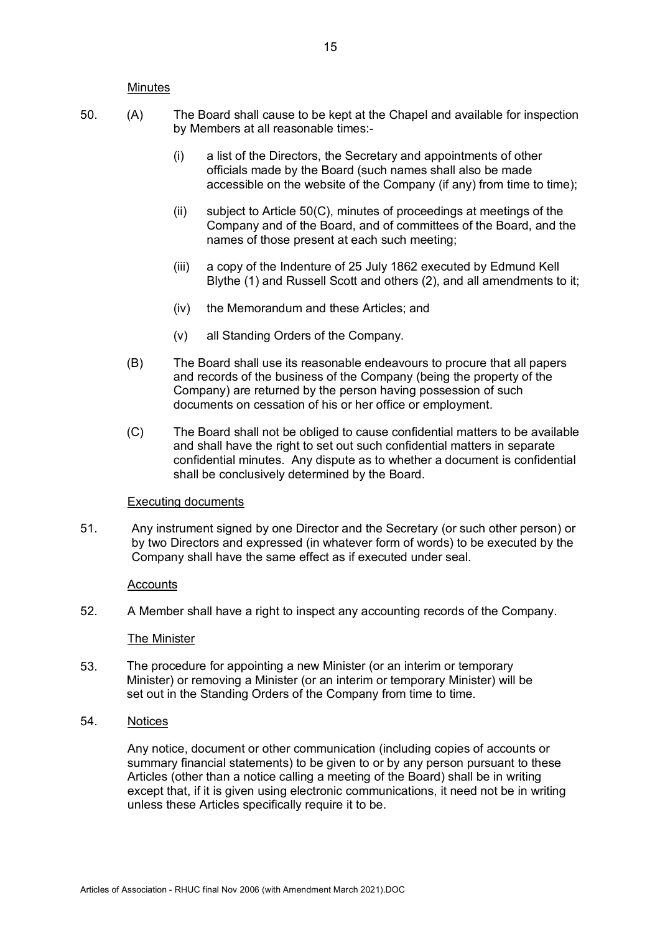#### **Minutes**

- 50. (A) The Board shall cause to be kept at the Chapel and available for inspection by Members at all reasonable times:-
	- (i) a list of the Directors, the Secretary and appointments of other officials made by the Board (such names shall also be made accessible on the website of the Company (if any) from time to time);
	- (ii) subject to Article 50(C), minutes of proceedings at meetings of the Company and of the Board, and of committees of the Board, and the names of those present at each such meeting;
	- (iii) a copy of the Indenture of 25 July 1862 executed by Edmund Kell Blythe (1) and Russell Scott and others (2), and all amendments to it;
	- (iv) the Memorandum and these Articles; and
	- (v) all Standing Orders of the Company.
	- (B) The Board shall use its reasonable endeavours to procure that all papers and records of the business of the Company (being the property of the Company) are returned by the person having possession of such documents on cessation of his or her office or employment.
	- (C) The Board shall not be obliged to cause confidential matters to be available and shall have the right to set out such confidential matters in separate confidential minutes. Any dispute as to whether a document is confidential shall be conclusively determined by the Board.

#### Executing documents

51. Any instrument signed by one Director and the Secretary (or such other person) or by two Directors and expressed (in whatever form of words) to be executed by the Company shall have the same effect as if executed under seal.

#### Accounts

52. A Member shall have a right to inspect any accounting records of the Company.

#### The Minister

- 53. The procedure for appointing a new Minister (or an interim or temporary Minister) or removing a Minister (or an interim or temporary Minister) will be set out in the Standing Orders of the Company from time to time.
- 54. Notices

Any notice, document or other communication (including copies of accounts or summary financial statements) to be given to or by any person pursuant to these Articles (other than a notice calling a meeting of the Board) shall be in writing except that, if it is given using electronic communications, it need not be in writing unless these Articles specifically require it to be.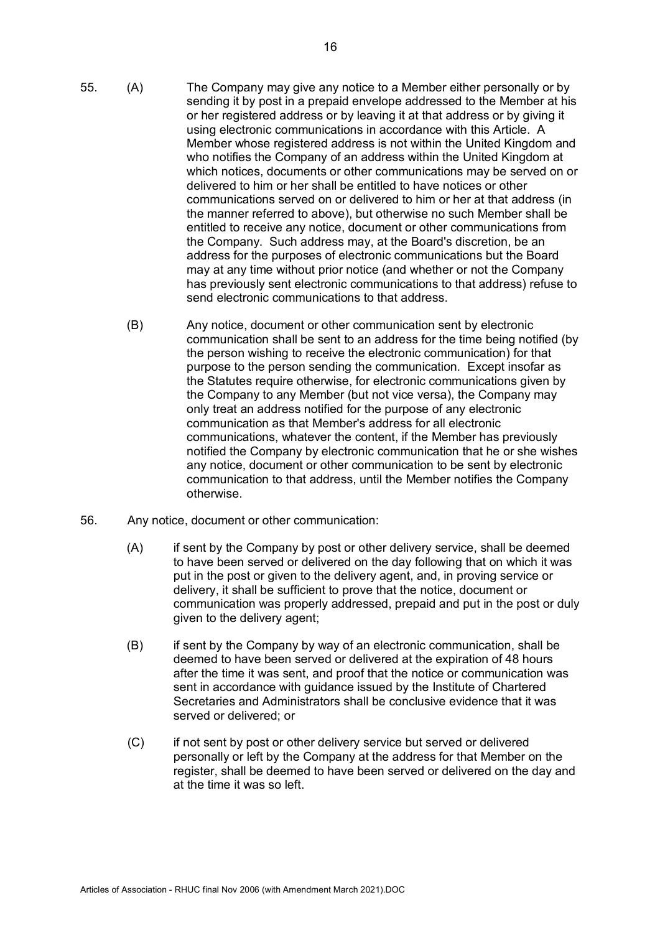- 55. (A) The Company may give any notice to a Member either personally or by sending it by post in a prepaid envelope addressed to the Member at his or her registered address or by leaving it at that address or by giving it using electronic communications in accordance with this Article. A Member whose registered address is not within the United Kingdom and who notifies the Company of an address within the United Kingdom at which notices, documents or other communications may be served on or delivered to him or her shall be entitled to have notices or other communications served on or delivered to him or her at that address (in the manner referred to above), but otherwise no such Member shall be entitled to receive any notice, document or other communications from the Company. Such address may, at the Board's discretion, be an address for the purposes of electronic communications but the Board may at any time without prior notice (and whether or not the Company has previously sent electronic communications to that address) refuse to send electronic communications to that address.
	- (B) Any notice, document or other communication sent by electronic communication shall be sent to an address for the time being notified (by the person wishing to receive the electronic communication) for that purpose to the person sending the communication. Except insofar as the Statutes require otherwise, for electronic communications given by the Company to any Member (but not vice versa), the Company may only treat an address notified for the purpose of any electronic communication as that Member's address for all electronic communications, whatever the content, if the Member has previously notified the Company by electronic communication that he or she wishes any notice, document or other communication to be sent by electronic communication to that address, until the Member notifies the Company otherwise.
- 56. Any notice, document or other communication:
	- (A) if sent by the Company by post or other delivery service, shall be deemed to have been served or delivered on the day following that on which it was put in the post or given to the delivery agent, and, in proving service or delivery, it shall be sufficient to prove that the notice, document or communication was properly addressed, prepaid and put in the post or duly given to the delivery agent;
	- (B) if sent by the Company by way of an electronic communication, shall be deemed to have been served or delivered at the expiration of 48 hours after the time it was sent, and proof that the notice or communication was sent in accordance with quidance issued by the Institute of Chartered Secretaries and Administrators shall be conclusive evidence that it was served or delivered; or
	- (C) if not sent by post or other delivery service but served or delivered personally or left by the Company at the address for that Member on the register, shall be deemed to have been served or delivered on the day and at the time it was so left.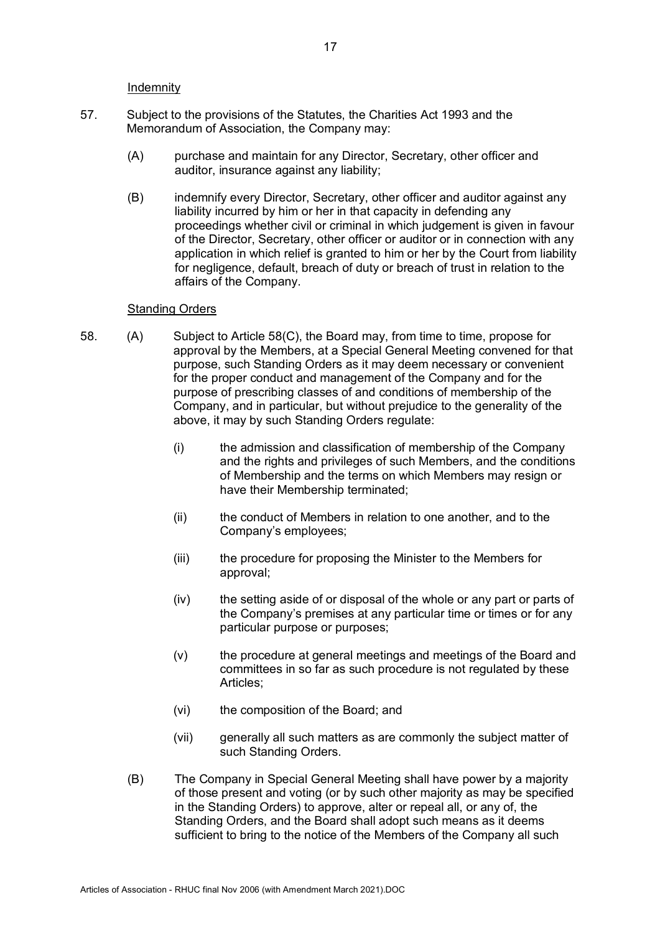Indemnity

- 57. Subject to the provisions of the Statutes, the Charities Act 1993 and the Memorandum of Association, the Company may:
	- (A) purchase and maintain for any Director, Secretary, other officer and auditor, insurance against any liability;
	- (B) indemnify every Director, Secretary, other officer and auditor against any liability incurred by him or her in that capacity in defending any proceedings whether civil or criminal in which judgement is given in favour of the Director, Secretary, other officer or auditor or in connection with any application in which relief is granted to him or her by the Court from liability for negligence, default, breach of duty or breach of trust in relation to the affairs of the Company.

#### Standing Orders

- 58. (A) Subject to Article 58(C), the Board may, from time to time, propose for approval by the Members, at a Special General Meeting convened for that purpose, such Standing Orders as it may deem necessary or convenient for the proper conduct and management of the Company and for the purpose of prescribing classes of and conditions of membership of the Company, and in particular, but without prejudice to the generality of the above, it may by such Standing Orders regulate:
	- (i) the admission and classification of membership of the Company and the rights and privileges of such Members, and the conditions of Membership and the terms on which Members may resign or have their Membership terminated;
	- (ii) the conduct of Members in relation to one another, and to the Company's employees;
	- (iii) the procedure for proposing the Minister to the Members for approval;
	- (iv) the setting aside of or disposal of the whole or any part or parts of the Company's premises at any particular time or times or for any particular purpose or purposes;
	- (v) the procedure at general meetings and meetings of the Board and committees in so far as such procedure is not regulated by these Articles;
	- (vi) the composition of the Board; and
	- (vii) generally all such matters as are commonly the subject matter of such Standing Orders.
	- (B) The Company in Special General Meeting shall have power by a majority of those present and voting (or by such other majority as may be specified in the Standing Orders) to approve, alter or repeal all, or any of, the Standing Orders, and the Board shall adopt such means as it deems sufficient to bring to the notice of the Members of the Company all such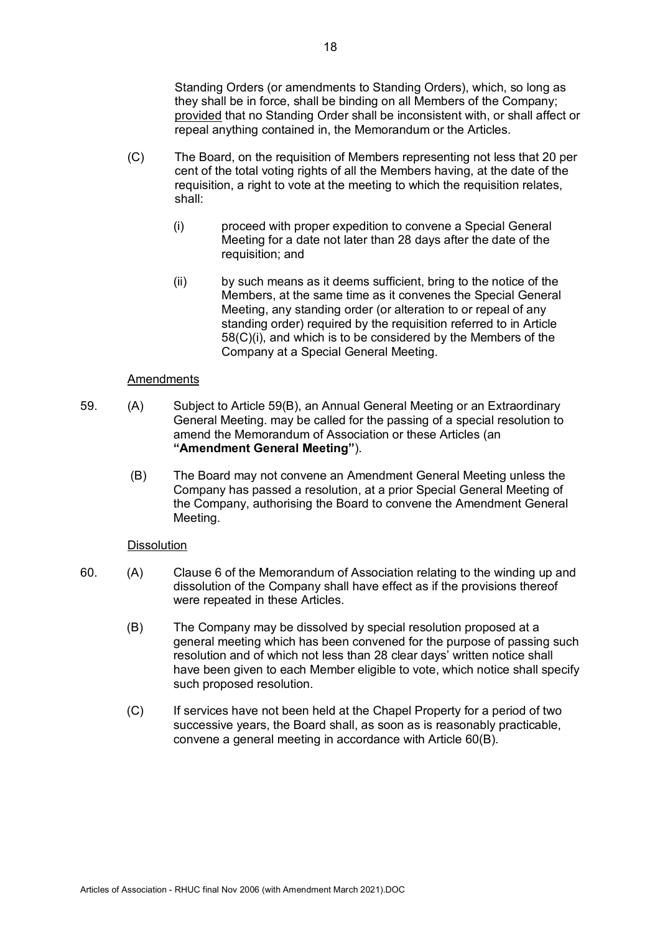Standing Orders (or amendments to Standing Orders), which, so long as they shall be in force, shall be binding on all Members of the Company; provided that no Standing Order shall be inconsistent with, or shall affect or repeal anything contained in, the Memorandum or the Articles.

- (C) The Board, on the requisition of Members representing not less that 20 per cent of the total voting rights of all the Members having, at the date of the requisition, a right to vote at the meeting to which the requisition relates, shall:
	- (i) proceed with proper expedition to convene a Special General Meeting for a date not later than 28 days after the date of the requisition; and
	- (ii) by such means as it deems sufficient, bring to the notice of the Members, at the same time as it convenes the Special General Meeting, any standing order (or alteration to or repeal of any standing order) required by the requisition referred to in Article 58(C)(i), and which is to be considered by the Members of the Company at a Special General Meeting.

#### **Amendments**

- 59. (A) Subject to Article 59(B), an Annual General Meeting or an Extraordinary General Meeting. may be called for the passing of a special resolution to amend the Memorandum of Association or these Articles (an **"Amendment General Meeting"**).
	- (B) The Board may not convene an Amendment General Meeting unless the Company has passed a resolution, at a prior Special General Meeting of the Company, authorising the Board to convene the Amendment General Meeting.

#### **Dissolution**

- 60. (A) Clause 6 of the Memorandum of Association relating to the winding up and dissolution of the Company shall have effect as if the provisions thereof were repeated in these Articles.
	- (B) The Company may be dissolved by special resolution proposed at a general meeting which has been convened for the purpose of passing such resolution and of which not less than 28 clear days' written notice shall have been given to each Member eligible to vote, which notice shall specify such proposed resolution.
	- (C) If services have not been held at the Chapel Property for a period of two successive years, the Board shall, as soon as is reasonably practicable, convene a general meeting in accordance with Article 60(B).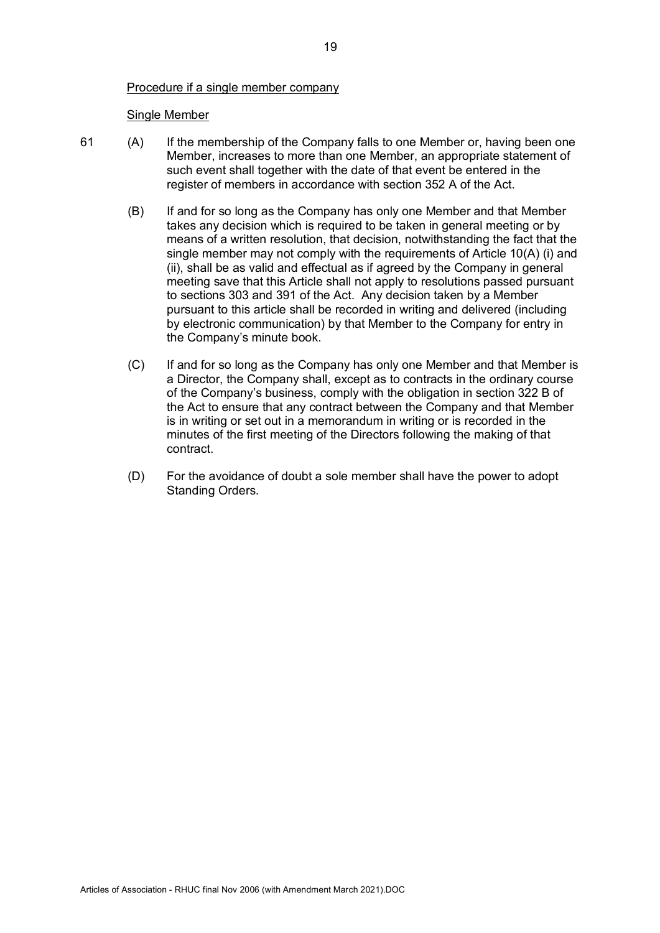## Procedure if a single member company

#### Single Member

- 61 (A) If the membership of the Company falls to one Member or, having been one Member, increases to more than one Member, an appropriate statement of such event shall together with the date of that event be entered in the register of members in accordance with section 352 A of the Act.
	- (B) If and for so long as the Company has only one Member and that Member takes any decision which is required to be taken in general meeting or by means of a written resolution, that decision, notwithstanding the fact that the single member may not comply with the requirements of Article 10(A) (i) and (ii), shall be as valid and effectual as if agreed by the Company in general meeting save that this Article shall not apply to resolutions passed pursuant to sections 303 and 391 of the Act. Any decision taken by a Member pursuant to this article shall be recorded in writing and delivered (including by electronic communication) by that Member to the Company for entry in the Company's minute book.
	- (C) If and for so long as the Company has only one Member and that Member is a Director, the Company shall, except as to contracts in the ordinary course of the Company's business, comply with the obligation in section 322 B of the Act to ensure that any contract between the Company and that Member is in writing or set out in a memorandum in writing or is recorded in the minutes of the first meeting of the Directors following the making of that contract.
	- (D) For the avoidance of doubt a sole member shall have the power to adopt Standing Orders.